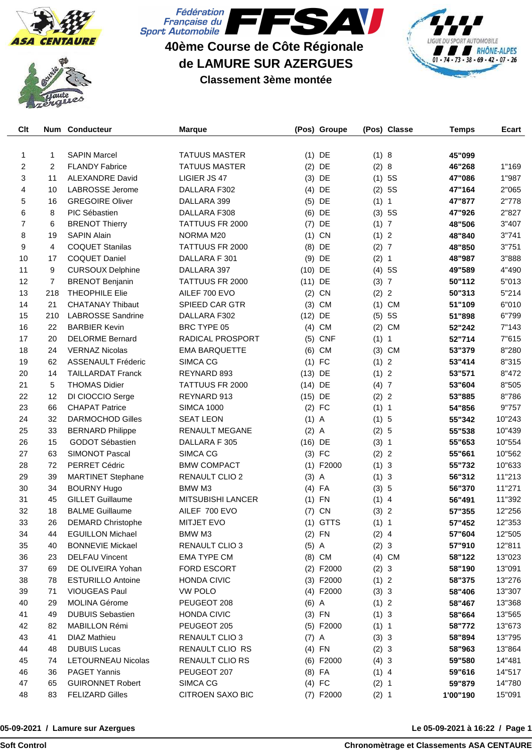





**40ème Course de Côte Régionale de LAMURE SUR AZERGUES**

**Classement 3ème montée**



| Clt            |                | <b>Num Conducteur</b>     | <b>Marque</b>            |           | (Pos) Groupe   |         | (Pos) Classe   | <b>Temps</b> | Ecart  |
|----------------|----------------|---------------------------|--------------------------|-----------|----------------|---------|----------------|--------------|--------|
|                |                |                           |                          |           |                |         |                |              |        |
| 1              | 1              | <b>SAPIN Marcel</b>       | <b>TATUUS MASTER</b>     |           | $(1)$ DE       | (1) 8   |                | 45"099       |        |
| $\overline{2}$ | 2              | <b>FLANDY Fabrice</b>     | <b>TATUUS MASTER</b>     |           | $(2)$ DE       | (2) 8   |                | 46"268       | 1"169  |
| 3              | 11             | <b>ALEXANDRE David</b>    | LIGIER JS 47             | (3)       | DE             | (1)     | 5S             | 47"086       | 1"987  |
| 4              | 10             | LABROSSE Jerome           | DALLARA F302             |           | $(4)$ DE       | (2)     | 5S             | 47"164       | 2"065  |
| 5              | 16             | <b>GREGOIRE Oliver</b>    | DALLARA 399              |           | $(5)$ DE       | (1) 1   |                | 47"877       | 2"778  |
| 6              | 8              | PIC Sébastien             | DALLARA F308             |           | $(6)$ DE       |         | (3) 5S         | 47"926       | 2"827  |
| $\overline{7}$ | 6              | <b>BRENOT Thierry</b>     | TATTUUS FR 2000          | (7)       | DE             | (1) 7   |                | 48"506       | 3"407  |
| 8              | 19             | <b>SAPIN Alain</b>        | NORMA M20                | (1)       | CN             | (1) 2   |                | 48"840       | 3"741  |
| 9              | 4              | <b>COQUET Stanilas</b>    | TATTUUS FR 2000          | (8)       | DE             | (2) 7   |                | 48"850       | 3"751  |
| 10             | 17             | <b>COQUET Daniel</b>      | DALLARA F 301            | (9)       | DE             | (2) 1   |                | 48"987       | 3"888  |
| 11             | 9              | <b>CURSOUX Delphine</b>   | DALLARA 397              | $(10)$ DE |                |         | (4) 5S         | 49"589       | 4"490  |
| 12             | $\overline{7}$ | <b>BRENOT Benjanin</b>    | TATTUUS FR 2000          | $(11)$ DE |                | (3) 7   |                | 50"112       | 5"013  |
| 13             | 218            | <b>THEOPHILE Elie</b>     | AILEF 700 EVO            |           | $(2)$ CN       | (2) 2   |                | 50"313       | 5"214  |
| 14             | 21             | <b>CHATANAY Thibaut</b>   | SPIEED CAR GTR           |           | $(3)$ CM       |         | $(1)$ CM       | 51"109       | 6"010  |
| 15             | 210            | <b>LABROSSE Sandrine</b>  | DALLARA F302             | $(12)$ DE |                | (5)     | 5S             | 51"898       | 6"799  |
| 16             | 22             | <b>BARBIER Kevin</b>      | BRC TYPE 05              |           | $(4)$ CM       | (2)     | <b>CM</b>      | 52"242       | 7"143  |
| 17             | 20             | <b>DELORME Bernard</b>    | RADICAL PROSPORT         | (5)       | <b>CNF</b>     | (1) 1   |                | 52"714       | 7"615  |
| 18             | 24             | <b>VERNAZ Nicolas</b>     | <b>EMA BARQUETTE</b>     | (6)       | CM             | (3)     | CM             | 53"379       | 8"280  |
| 19             | 62             | <b>ASSENAULT Fréderic</b> | SIMCA CG                 |           | $(1)$ FC       | (1) 2   |                | 53"414       | 8"315  |
| 20             | 14             | <b>TAILLARDAT Franck</b>  | REYNARD 893              | $(13)$ DE |                | (1)     | $\overline{2}$ | 53"571       | 8"472  |
| 21             | 5              | <b>THOMAS Didier</b>      | TATTUUS FR 2000          | $(14)$ DE |                | (4)7    |                | 53"604       | 8"505  |
| 22             | 12             | DI CIOCCIO Serge          | REYNARD 913              | $(15)$ DE |                | (2) 2   |                | 53"885       | 8"786  |
| 23             | 66             | <b>CHAPAT Patrice</b>     | <b>SIMCA 1000</b>        |           | $(2)$ FC       | (1) 1   |                | 54"856       | 9"757  |
| 24             | 32             | <b>DARMOCHOD Gilles</b>   | <b>SEAT LEON</b>         | $(1)$ A   |                | (1) 5   |                | 55"342       | 10"243 |
| 25             | 33             | <b>BERNARD Philippe</b>   | <b>RENAULT MEGANE</b>    | (2)       | $\overline{A}$ | (2) 5   |                | 55"538       | 10"439 |
| 26             | 15             | GODOT Sébastien           | DALLARA F 305            | $(16)$ DE |                | (3) 1   |                | 55"653       | 10"554 |
| 27             | 63             | <b>SIMONOT Pascal</b>     | SIMCA CG                 |           | $(3)$ FC       | (2) 2   |                | 55"661       | 10"562 |
| 28             | 72             | PERRET Cédric             | <b>BMW COMPACT</b>       |           | $(1)$ F2000    | (1) 3   |                | 55"732       | 10"633 |
| 29             | 39             | <b>MARTINET Stephane</b>  | RENAULT CLIO 2           | $(3)$ A   |                | (1) 3   |                | 56"312       | 11"213 |
| 30             | 34             | <b>BOURNY Hugo</b>        | BMW M3                   |           | $(4)$ FA       | (3) 5   |                | 56"370       | 11"271 |
| 31             | 45             | <b>GILLET Guillaume</b>   | <b>MITSUBISHI LANCER</b> | (1)       | FN             | $(1)$ 4 |                | 56"491       | 11"392 |
| 32             | 18             | <b>BALME Guillaume</b>    | AILEF 700 EVO            | (7)       | CN             | (3) 2   |                | 57"355       | 12"256 |
| 33             | 26             | <b>DEMARD Christophe</b>  | <b>MITJET EVO</b>        |           | $(1)$ GTTS     | (1) 1   |                | 57"452       | 12"353 |
| 34             | 44             | <b>EGUILLON Michael</b>   | BMW M3                   |           | $(2)$ FN       | $(2)$ 4 |                | 57"604       | 12"505 |
| 35             | 40             | <b>BONNEVIE Mickael</b>   | RENAULT CLIO 3           | $(5)$ A   |                | (2) 3   |                | 57"910       | 12"811 |
| 36             | 23             | <b>DELFAU Vincent</b>     | <b>EMA TYPE CM</b>       |           | $(8)$ CM       |         | $(4)$ CM       | 58"122       | 13"023 |
| 37             | 69             | DE OLIVEIRA Yohan         | <b>FORD ESCORT</b>       |           | $(2)$ F2000    | (2) 3   |                | 58"190       | 13"091 |
| 38             | 78             | <b>ESTURILLO Antoine</b>  | <b>HONDA CIVIC</b>       |           | $(3)$ F2000    | (1) 2   |                | 58"375       | 13"276 |
| 39             | 71             | <b>VIOUGEAS Paul</b>      | <b>VW POLO</b>           |           | $(4)$ F2000    | (3) 3   |                | 58"406       | 13"307 |
| 40             | 29             | <b>MOLINA Gérome</b>      | PEUGEOT 208              | $(6)$ A   |                | (1) 2   |                | 58"467       | 13"368 |
| 41             | 49             | <b>DUBUIS Sebastien</b>   | <b>HONDA CIVIC</b>       |           | $(3)$ FN       | (1) 3   |                | 58"664       | 13"565 |
| 42             | 82             | MABILLON Rémi             | PEUGEOT 205              |           | $(5)$ F2000    | (1) 1   |                | 58"772       | 13"673 |
| 43             | 41             | <b>DIAZ Mathieu</b>       | RENAULT CLIO 3           | $(7)$ A   |                | (3) 3   |                | 58"894       | 13"795 |
| 44             | 48             | <b>DUBUIS Lucas</b>       | RENAULT CLIO RS          |           | $(4)$ FN       | (2) 3   |                | 58"963       | 13"864 |
| 45             | 74             | LETOURNEAU Nicolas        | RENAULT CLIO RS          |           | $(6)$ F2000    | (4) 3   |                | 59"580       | 14"481 |
| 46             | 36             | <b>PAGET Yannis</b>       | PEUGEOT 207              |           | $(8)$ FA       | $(1)$ 4 |                | 59"616       | 14"517 |
| 47             | 65             | <b>GUIRONNET Robert</b>   | SIMCA CG                 |           | $(4)$ FC       | (2) 1   |                | 59"879       | 14"780 |
| 48             | 83             | <b>FELIZARD Gilles</b>    | CITROEN SAXO BIC         |           | (7) F2000      | (2) 1   |                | 1'00"190     | 15"091 |
|                |                |                           |                          |           |                |         |                |              |        |

## **05-09-2021 / Lamure sur Azergues**